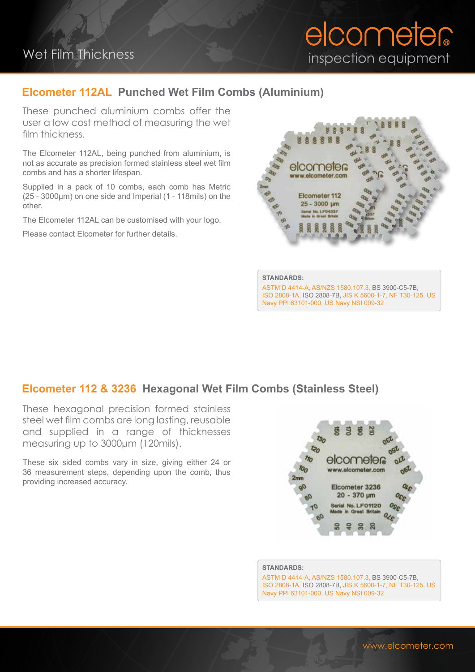# Wet Film Thickness

# elcometer inspection equipment

### **Elcometer 112AL Punched Wet Film Combs (Aluminium)**

These punched aluminium combs offer the user a low cost method of measuring the wet film thickness.

The Elcometer 112AL, being punched from aluminium, is not as accurate as precision formed stainless steel wet film combs and has a shorter lifespan.

Supplied in a pack of 10 combs, each comb has Metric (25 - 3000μm) on one side and Imperial (1 - 118mils) on the other.

The Elcometer 112AL can be customised with your logo.

Please contact Elcometer for further details.



**STANDARDS:**

ASTM D 4414-A, AS/NZS 1580.107.3, BS 3900-C5-7B, ISO 2808-1A, ISO 2808-7B, JIS K 5600-1-7, NF T30-125, US Navy PPI 63101-000, US Navy NSI 009-32

#### **Elcometer 112 & 3236 Hexagonal Wet Film Combs (Stainless Steel)**

These hexagonal precision formed stainless steel wet film combs are long lasting, reusable and supplied in a range of thicknesses measuring up to 3000μm (120mils).

These six sided combs vary in size, giving either 24 or 36 measurement steps, depending upon the comb, thus providing increased accuracy.

# 및 호 elcometer www.elcometer.com Elcometer 3236  $20 - 370$  um Serial No. LF01120 Made in Great Britain

#### **STANDARDS:**

ASTM D 4414-A, AS/NZS 1580.107.3, BS 3900-C5-7B, ISO 2808-1A, ISO 2808-7B, JIS K 5600-1-7, NF T30-125, US Navy PPI 63101-000, US Navy NSI 009-32